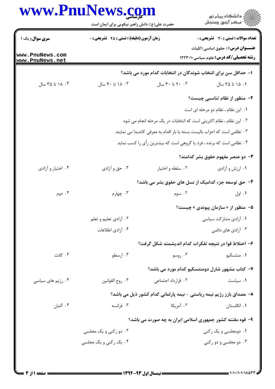|                                    | حضرت علی(ع): دانش راهبر نیکویی برای ایمان است                             | www.PnuNews.com       | ِ<br>∭ دانشڪاه پيام نور<br>∭ مرڪز آزمون وسنڊش                                      |
|------------------------------------|---------------------------------------------------------------------------|-----------------------|------------------------------------------------------------------------------------|
|                                    |                                                                           |                       |                                                                                    |
| سری سوال: یک ۱                     | <b>زمان آزمون (دقیقه) : تستی : 45 تشریحی : 0</b>                          |                       | <b>تعداد سوالات : تستی : 30 ٪ تشریحی : 0</b>                                       |
| www.PnuNews.com<br>www.PnuNews.net |                                                                           |                       | <b>عنـــوان درس:</b> ( حقوق اساسی (کلیات<br>رشته تحصیلی/کد درس: علوم سیاسی ۱۲۲۳۰۱۰ |
|                                    |                                                                           |                       | ۱– حداقل سن برای انتخاب شوندگان در انتخابات کدام مورد می باشد؟                     |
| ۰۴ ۱۸ تا ۳۵ سال                    | ۰۳ تا ۴۰ سال                                                              | ٢٠ ٢٠ تا ٣٠ سال       | ۰۱ ۱۵ تا ۲۵ سال                                                                    |
|                                    |                                                                           |                       | ۲- منظور از نظام تناسبی چیست؟                                                      |
|                                    | ٠١. اين نظام ، نظام دو مرحله اي است                                       |                       |                                                                                    |
|                                    | ٢. این نظام ، نظام اکثریتی است که انتخابات در یک مرحله انجام می شود       |                       |                                                                                    |
|                                    | ۰۳ نظامی است که احزاب بالیست بسته یا باز اقدام به معرفی کاندیدا می نمایند |                       |                                                                                    |
|                                    | ۰۴ نظامی است که برنده ، فرد یا گروهی است که بیشترین رأی را کسب نماید      |                       |                                                                                    |
|                                    |                                                                           |                       | ۳- دو عنصر مفهوم حقوق بشر کدامند؟                                                  |
| ۰۴ اختیار و آزادی                  | ۰۳ حق و آزادي                                                             | ۰۲ سلطه و اختيار      | ٠١ ارزش و آزادي                                                                    |
|                                    |                                                                           |                       | ۴- حق توسعه جزء کدامیک از نسل های حقوق بشر می باشد؟                                |
| ۰۴ دوم                             | ۰۳ چهارم                                                                  | ۰۲ سوم                | ۰۱ اول                                                                             |
|                                    |                                                                           |                       | ۵– منظور از « سازمان پیوندی » چیست؟                                                |
|                                    | ۰۲ آزادي تعليم و تعلم                                                     | ۰۱ آزادی مشارکت سیاسی |                                                                                    |
|                                    | ۰۴ آزادی اطلاعات                                                          |                       | ۰۳ آزادي هاي دائمي                                                                 |
|                                    |                                                                           |                       | ۶– اختلاط قوا در نتیجه تفکرات کدام اندیشمند شکل گرفت؟                              |
| ۰۴ کانت                            | ۰۳ ارسطو                                                                  | ۰۲ روسو               | ۰۱ منتسکیو                                                                         |
|                                    |                                                                           |                       | ۷- کتاب مشهور شارل دومنتسکیو کدام مورد می باشد؟                                    |
| ۰۴ رژیم های سیاسی                  | ۰۳ روح القوانين                                                           | ٢. قرارداد اجتماعي    | ۰۱ سیاست                                                                           |
|                                    |                                                                           |                       | ۸– مصداق بارز رژیم نیمه ریاستی - نیمه پارلمانی کدام کشور ذیل می باشد؟              |
| ۰۴ آلمان                           | ۰۳ فرانسه                                                                 | ۰۲ آمریکا             | ۰۱ انگلستان                                                                        |
|                                    |                                                                           |                       | ۹– قوه مقننه کشور جمهوری اسلامی ایران به چه صورت می باشد؟                          |
|                                    | ۰۲ دو رکنی و یک مجلسی                                                     |                       | ۰۱ دومجلسی و یک رکنی                                                               |
|                                    | ۰۴ یک رکنی و یک مجلسی                                                     |                       | ۰۳ دو مجلسي و دو رکني                                                              |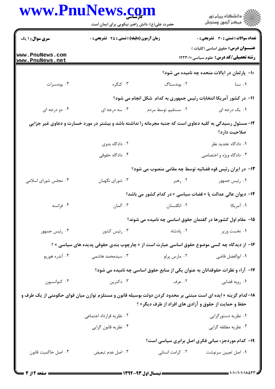| www.PnuNews.com                    | حضرت علی(ع): دانش راهبر نیکویی برای ایمان است |                                                      | ڪ دانشڪاه پيام نور<br>ر∕ آزمون وسنڊش                                                                                      |
|------------------------------------|-----------------------------------------------|------------------------------------------------------|---------------------------------------------------------------------------------------------------------------------------|
| <b>سری سوال : ۱ یک</b>             | زمان آزمون (دقیقه) : تستی : 45 آتشریحی : 0    |                                                      | <b>تعداد سوالات : تستی : 30 ٪ تشریحی : 0</b>                                                                              |
| www.PnuNews.com<br>www.PnuNews.net |                                               |                                                      | <b>عنـــوان درس:</b> حقوق اساسی (کلیات )<br><b>رشته تحصیلی/کد درس:</b> علوم سیاسی1۲۲۳۰۱۰                                  |
|                                    |                                               |                                                      | ۱۰- پارلمان در ایالات متحده چه نامیده می شود؟                                                                             |
| ۰۴ بوندسرات                        | ۰۳ کنگره                                      | ۰۲ بوندستاگ                                          | ۰۱ سنا                                                                                                                    |
|                                    |                                               |                                                      | 11- در کشور آمریکا انتخابات رئیس جمهوری به کدام شکل انجام می شود؟                                                         |
| ۰۴ دو درجه ای                      | ۰۳ سه درجه ای                                 | ۰۲ مستقیم توسط مردم                                  | ۰۱ یک درجه ای                                                                                                             |
|                                    |                                               |                                                      | ۱۲– مسئول رسیدگی به کلیه دعاوی است که جنبه مجرمانه را نداشته باشد و بیشتر در مورد خسارت و دعاوی غیر جزایی<br>صلاحيت دارد؟ |
|                                    | ۰۲ دادگاه بدوی                                |                                                      | ٠١. دادگاه تجديد نظر                                                                                                      |
|                                    | ۰۴ دادگاه حقوقی                               |                                                      | ۰۳ دادگاه ویژه و اختصاصی                                                                                                  |
|                                    |                                               |                                                      | ۱۳- در ایران رئیس قوه قضائیه توسط چه مقامی منصوب می شود؟                                                                  |
| ۰۴ مجلس شورای اسلامی               | ۰۳ شورای نگهبان                               | ۰۲ رهبر                                              | ۰۱ رئیس جمهور                                                                                                             |
|                                    |                                               |                                                      | ۱۴– دیوان عالی عدالت یا « قضات سیاسی » در کدام کشور می باشد؟                                                              |
| ۰۴ فرانسه                          | ۰۳ آلمان                                      | ۰۲ انگلستان                                          | ۰۱ آمریکا                                                                                                                 |
|                                    |                                               |                                                      | 1۵- مقام اول کشورها در گفتمان حقوق اساسی چه نامیده می شوند؟                                                               |
| ۰۴ رئیس جمهور                      | ۰۳ رئیس کشور                                  | ۰۲ پادشاه                                            | ۰۱ نخست وزیر                                                                                                              |
|                                    |                                               |                                                      | ۱۶- از دیدگاه چه کسی موضوع حقوق اساسی عبارت است از « چارچوب بندی حقوقی پدیده های سیاسی » ؟                                |
| ۰۴ آندره هوريو                     | ۰۳ سیدمحمد هاشمی                              | ۰۲ مارس پرلو                                         | ۰۱ ابوالفضل قاضي                                                                                                          |
|                                    |                                               |                                                      | ۱۷– آراء و نظرات حقوقدانان به عنوان یکی از منابع حقوق اساسی چه نامیده می شود؟                                             |
| ۰۴ کنوانسیون                       | ۰۳ دکترین                                     | ۰۲ عرف                                               | ۰۱ رویه قضایی                                                                                                             |
|                                    |                                               | حفظ و حمایت از حقوق و آزادی های افراد از طرف دیگر» ؟ | ۱۸–کدام گزینه « ایده ای است مبتنی بر محدود کردن دولت بوسیله قانون و مستلزم توازن میان قوای حکومتی از یک طرف و             |
|                                    | ۰۲ نظریه قرارداد اجتماعی                      |                                                      | ۰۱ نظریه دستورگرایی                                                                                                       |
|                                    | ۰۴ نظریه قانون گرایی                          |                                                      | ۰۳ نظریه مطلقه گرایی                                                                                                      |
|                                    |                                               |                                                      | ۱۹- کدام موردجزء مبانی فکری اصل برابری سیاسی است؟                                                                         |
| ۰۴ اصل حاكميت قانون                | ۰۳ اصل عدم تبعيض                              | ۰۲ کرامت انسانی                                      | ٠١. اصل تعيين سرنوشت                                                                                                      |
|                                    |                                               |                                                      |                                                                                                                           |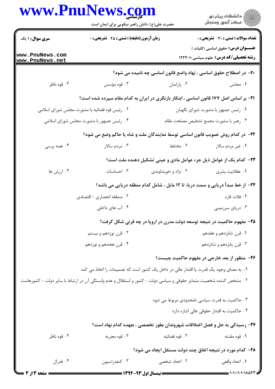|                                                                         | www.PnuNews.com<br>حضرت علی(ع): دانش راهبر نیکویی برای ایمان است |                                                                                                                   | ِ<br>∭ دانشڪاه پيام نور<br>∭ مرڪز آزمون وسنڊش                                            |  |
|-------------------------------------------------------------------------|------------------------------------------------------------------|-------------------------------------------------------------------------------------------------------------------|------------------------------------------------------------------------------------------|--|
| <b>سری سوال : ۱ یک</b>                                                  | زمان آزمون (دقیقه) : تستی : 45 آتشریحی : 0                       |                                                                                                                   | <b>تعداد سوالات : تستی : 30 ٪ تشریحی : 0</b>                                             |  |
| www.PnuNews.com<br>www.PnuNews.net                                      |                                                                  |                                                                                                                   | <b>عنـــوان درس:</b> حقوق اساسی (کلیات )<br><b>رشته تحصیلی/کد درس:</b> علوم سیاسی1۲۲۳۰۱۰ |  |
|                                                                         |                                                                  | +۲- در اصطلاح حقوق اساسی ، نهاد واضع قانون اساسی چه نامیده می شود؟                                                |                                                                                          |  |
| ۰۴ قوه ناظر                                                             | ۰۳ قوه مؤسس                                                      | ۰۲ پارلمان                                                                                                        | ۰۱ مجلس                                                                                  |  |
|                                                                         |                                                                  | <b>۲۱</b> - بر اساس اصل ۱۷۷ قانون اساسی ، ابتکار بازنگری در ایران به کدام مقام سپرده شده است؟                     |                                                                                          |  |
|                                                                         | ۰۲ رئیس قوه قضائیه با مشورت مجلس شورای اسلامی                    |                                                                                                                   | ٠١ رئيس جمهور با مشورت شوراي نگهبان                                                      |  |
|                                                                         | ۰۴ رئیس جمهور با مشورت مجلس شورای اسلامی                         | ۰۳ رهبر با مشورت مجمع تشخيص مصلحت نظام                                                                            |                                                                                          |  |
|                                                                         |                                                                  | ۲۲- در کدام روش تصویب قانون اساسی توسط نمایندگان ملت و شاه یا حاکم وضع می شود؟                                    |                                                                                          |  |
| ۰۴ همه پرسی                                                             | ۰۳ مردم سالار                                                    | ۰۲ مختلط                                                                                                          | ۰۱ غیر مردم سالار                                                                        |  |
|                                                                         |                                                                  | <b>۲۳</b> - کدام یک از عوامل ذیل جزء عوامل مادی و عینی تشکیل دهنده ملت است؟                                       |                                                                                          |  |
| ۰۴ ارزش ها                                                              | ۰۳ احساسات                                                       | ۰۲ نژاد و خویشاوندی                                                                                               | ۰۱ عقلانیت بشری                                                                          |  |
|                                                                         |                                                                  | ۲۴- از خط مبدأ دریایی و سمت دریا، تا ۱۲ مایل ، شامل کدام منطقه دریایی می باشد؟                                    |                                                                                          |  |
|                                                                         | ۰۲ منطقه انحصاری - اقتصادی                                       |                                                                                                                   | ۰۱ فلات قاره                                                                             |  |
|                                                                         | ۰۴ آب های داخلی                                                  |                                                                                                                   | ۰۳ دریای سرزمینی                                                                         |  |
| ۲۵- مفهوم حاکمیت در نتیجه توسعه دولت مدرن در اروپا در چه قرنی شکل گرفت؟ |                                                                  |                                                                                                                   |                                                                                          |  |
|                                                                         | ۰۲ قرن نوزدهم و بیستم                                            |                                                                                                                   | ۰۱ قرن شانزدهم و هفدهم                                                                   |  |
|                                                                         | ۰۴ قرن هجدهم و نوزدهم                                            |                                                                                                                   | ۰۳ قرن پانزدهم و شانزدهم                                                                 |  |
|                                                                         |                                                                  | ۲۶- منظور از بعد خارجی در مفهوم حاکمیت چیست؟                                                                      |                                                                                          |  |
|                                                                         |                                                                  | ۰۱ به معنای وجود یک قدرت یا اقتدار عالی در داخل یک کشور است که تصمیمات را اتخاذ می کند                            |                                                                                          |  |
|                                                                         |                                                                  | ۲. مشخص کننده شخصیت متمایز حقوقی و سیاسی دولت - کشور و استقلال و عدم وابستگی آن در ارتباط با سایر دولت - کشورهاست |                                                                                          |  |
|                                                                         |                                                                  | ۰۳ حاکمیت به قدرت سیاسی نامحدودی مربوط می شود                                                                     |                                                                                          |  |
|                                                                         |                                                                  |                                                                                                                   | ۰۴ حاکمیت به اقتدار حقوقی عالی اشاره دارد                                                |  |
|                                                                         |                                                                  | ٢٧- رسیدگی به حل و فصل اختلافات شهروندان بطور تخصصی ، بعهده کدام نهاد است؟                                        |                                                                                          |  |
| ۰۴ قوه ناظر                                                             | ۰۳ قوه مجریه                                                     | ۰۲ قوه قضائیه                                                                                                     | ۰۱ قوه مقننه                                                                             |  |
|                                                                         |                                                                  | ۲۸- کدام مورد در نتیجه اتفاق چند دولت مستقل ایجاد می شود؟                                                         |                                                                                          |  |
| ۰۴ فدرال                                                                | ۰۳ کنفدراسیون                                                    | ۲. اتحاد شخصی                                                                                                     | ۰۱ اتحاد واقعی                                                                           |  |